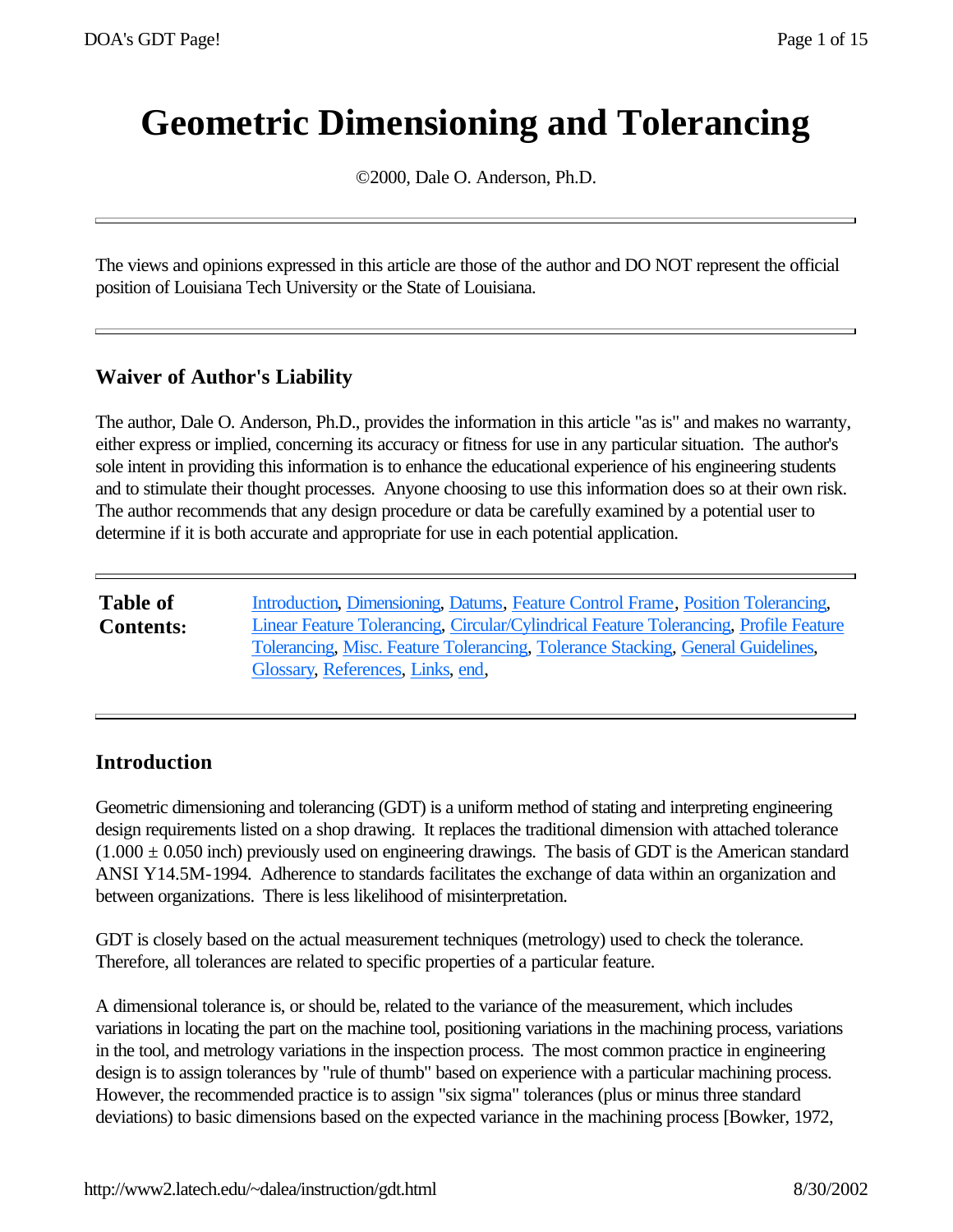# **Geometric Dimensioning and Tolerancing**

©2000, Dale O. Anderson, Ph.D.

The views and opinions expressed in this article are those of the author and DO NOT represent the official position of Louisiana Tech University or the State of Louisiana.

## **Waiver of Author's Liability**

The author, Dale O. Anderson, Ph.D., provides the information in this article "as is" and makes no warranty, either express or implied, concerning its accuracy or fitness for use in any particular situation. The author's sole intent in providing this information is to enhance the educational experience of his engineering students and to stimulate their thought processes. Anyone choosing to use this information does so at their own risk. The author recommends that any design procedure or data be carefully examined by a potential user to determine if it is both accurate and appropriate for use in each potential application.

| <b>Table of</b>  | Introduction, Dimensioning, Datums, Feature Control Frame, Position Tolerancing,                                     |
|------------------|----------------------------------------------------------------------------------------------------------------------|
| <b>Contents:</b> | Linear Feature Tolerancing, Circular/Cylindrical Feature Tolerancing, Profile Feature                                |
|                  | Tolerancing, Misc. Feature Tolerancing, Tolerance Stacking, General Guidelines,<br>Glossary, References, Links, end, |

## **Introduction**

Geometric dimensioning and tolerancing (GDT) is a uniform method of stating and interpreting engineering design requirements listed on a shop drawing. It replaces the traditional dimension with attached tolerance  $(1.000 \pm 0.050)$  inch) previously used on engineering drawings. The basis of GDT is the American standard ANSI Y14.5M-1994. Adherence to standards facilitates the exchange of data within an organization and between organizations. There is less likelihood of misinterpretation.

GDT is closely based on the actual measurement techniques (metrology) used to check the tolerance. Therefore, all tolerances are related to specific properties of a particular feature.

A dimensional tolerance is, or should be, related to the variance of the measurement, which includes variations in locating the part on the machine tool, positioning variations in the machining process, variations in the tool, and metrology variations in the inspection process. The most common practice in engineering design is to assign tolerances by "rule of thumb" based on experience with a particular machining process. However, the recommended practice is to assign "six sigma" tolerances (plus or minus three standard deviations) to basic dimensions based on the expected variance in the machining process [Bowker, 1972,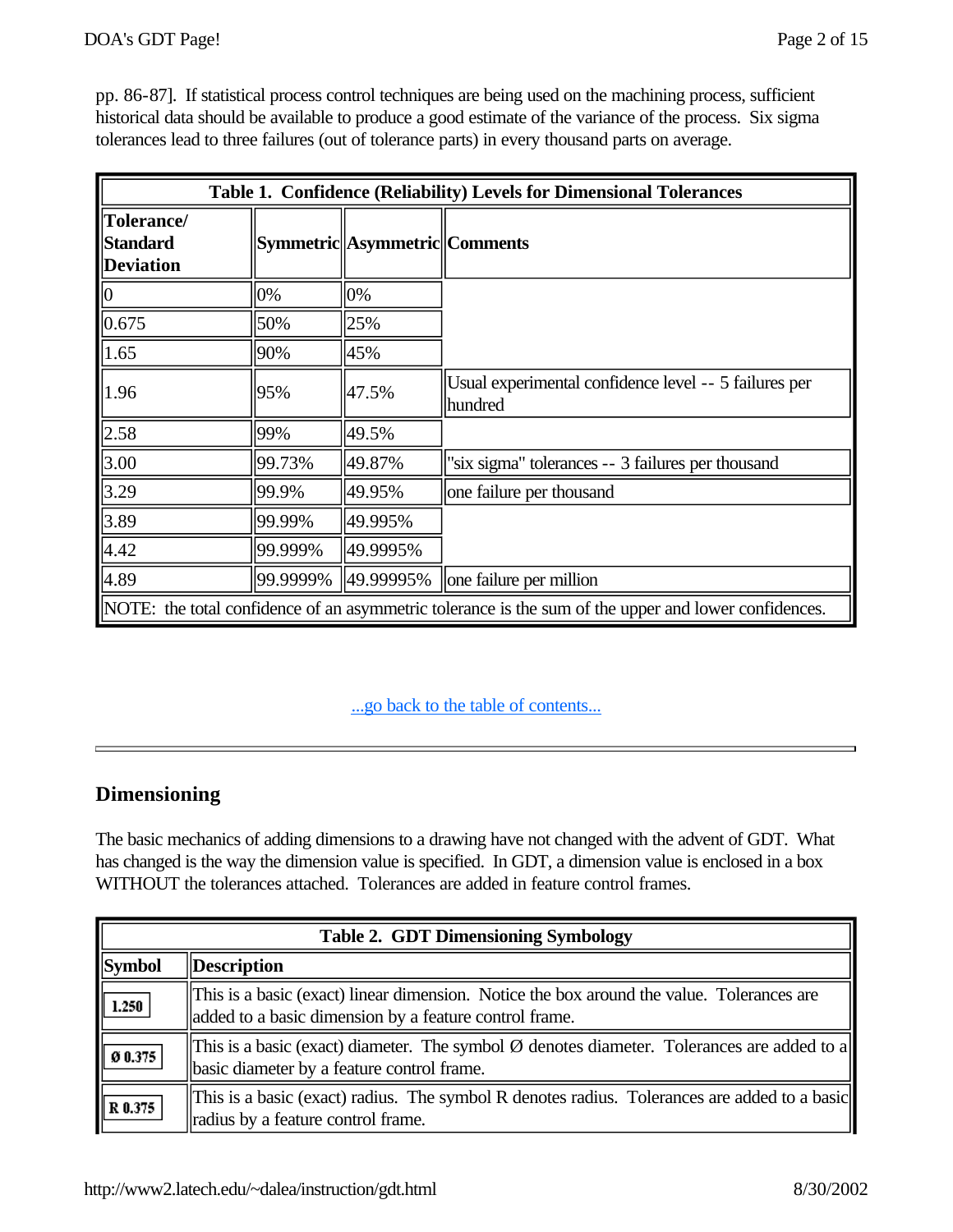pp. 86-87]. If statistical process control techniques are being used on the machining process, sufficient historical data should be available to produce a good estimate of the variance of the process. Six sigma tolerances lead to three failures (out of tolerance parts) in every thousand parts on average.

| Table 1. Confidence (Reliability) Levels for Dimensional Tolerances                                  |          |                               |                                                                  |  |
|------------------------------------------------------------------------------------------------------|----------|-------------------------------|------------------------------------------------------------------|--|
| Tolerance/<br><b>Standard</b><br><b>Deviation</b>                                                    |          | Symmetric Asymmetric Comments |                                                                  |  |
| $\vert 0 \vert$                                                                                      | 0%       | 0%                            |                                                                  |  |
| 0.675                                                                                                | 50%      | 25%                           |                                                                  |  |
| 1.65                                                                                                 | 90%      | 45%                           |                                                                  |  |
| 1.96                                                                                                 | 95%      | 47.5%                         | Usual experimental confidence level -- 5 failures per<br>hundred |  |
| 2.58                                                                                                 | 99%      | 49.5%                         |                                                                  |  |
| 3.00                                                                                                 | 99.73%   | 49.87%                        | "six sigma" tolerances -- 3 failures per thousand                |  |
| 3.29                                                                                                 | 99.9%    | 49.95%                        | one failure per thousand                                         |  |
| 3.89                                                                                                 | 99.99%   | 49.995%                       |                                                                  |  |
| 4.42                                                                                                 | 99.999%  | 49.9995%                      |                                                                  |  |
| 4.89                                                                                                 | 99.9999% | 49.99995%                     | one failure per million                                          |  |
| NOTE: the total confidence of an asymmetric tolerance is the sum of the upper and lower confidences. |          |                               |                                                                  |  |

#### ...go back to the table of contents...

# **Dimensioning**

The basic mechanics of adding dimensions to a drawing have not changed with the advent of GDT. What has changed is the way the dimension value is specified. In GDT, a dimension value is enclosed in a box WITHOUT the tolerances attached. Tolerances are added in feature control frames.

| <b>Table 2. GDT Dimensioning Symbology</b> |                                                                                                                                                     |  |
|--------------------------------------------|-----------------------------------------------------------------------------------------------------------------------------------------------------|--|
| <b>Symbol</b>                              | <b>Description</b>                                                                                                                                  |  |
| 1.250                                      | This is a basic (exact) linear dimension. Notice the box around the value. Tolerances are<br>added to a basic dimension by a feature control frame. |  |
| Ø0.375                                     | This is a basic (exact) diameter. The symbol $\emptyset$ denotes diameter. Tolerances are added to a<br>basic diameter by a feature control frame.  |  |
| R 0.375                                    | This is a basic (exact) radius. The symbol R denotes radius. Tolerances are added to a basic<br>radius by a feature control frame.                  |  |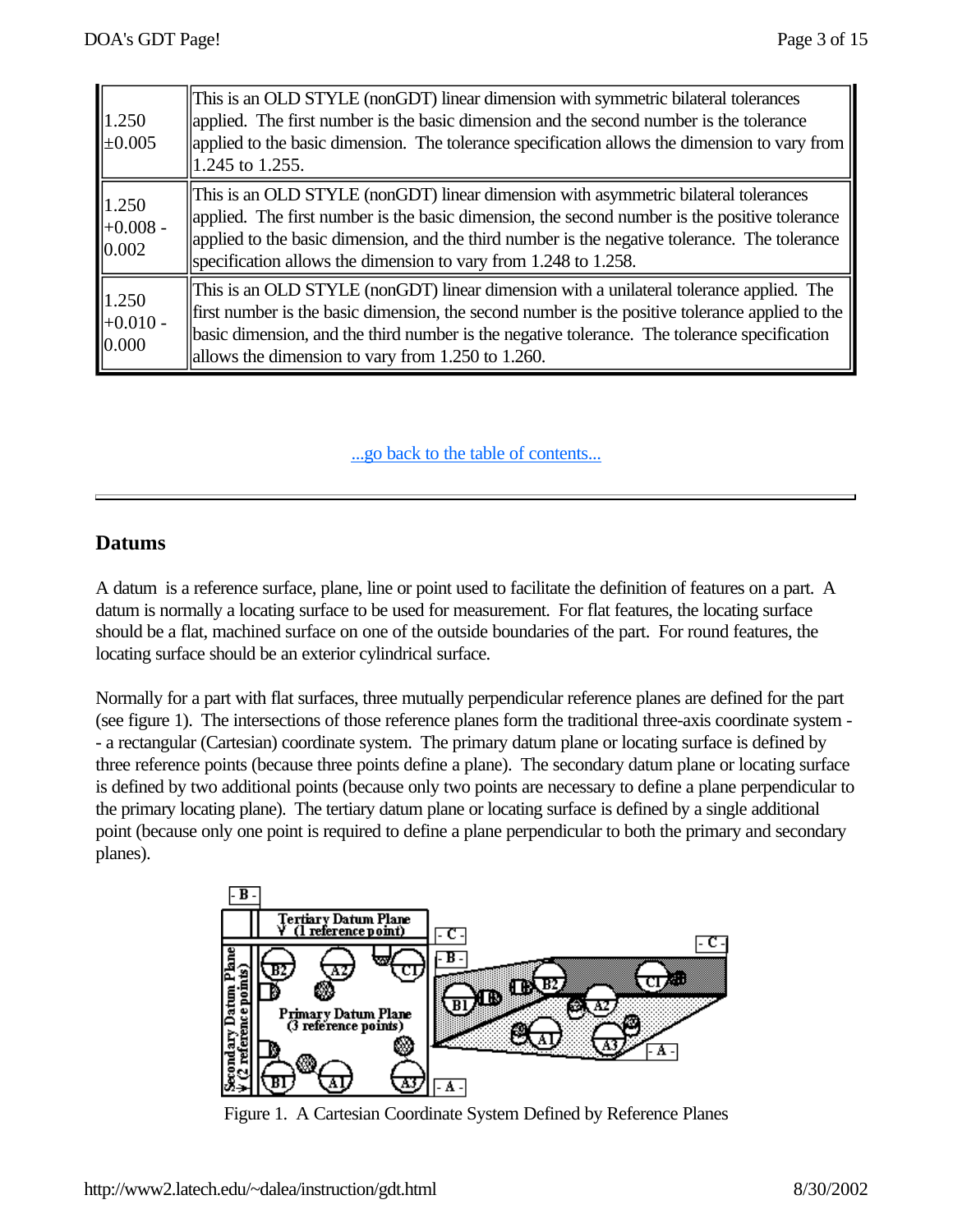| 1.250<br>$\pm 0.005$         | This is an OLD STYLE (nonGDT) linear dimension with symmetric bilateral tolerances<br>applied. The first number is the basic dimension and the second number is the tolerance<br>applied to the basic dimension. The tolerance specification allows the dimension to vary from<br>1.245 to 1.255.                                                        |
|------------------------------|----------------------------------------------------------------------------------------------------------------------------------------------------------------------------------------------------------------------------------------------------------------------------------------------------------------------------------------------------------|
| 1.250<br>$+0.008 -$<br>0.002 | This is an OLD STYLE (nonGDT) linear dimension with asymmetric bilateral tolerances<br>applied. The first number is the basic dimension, the second number is the positive tolerance<br>applied to the basic dimension, and the third number is the negative tolerance. The tolerance<br>specification allows the dimension to vary from 1.248 to 1.258. |
| 1.250<br>$+0.010 -$<br>0.000 | This is an OLD STYLE (nonGDT) linear dimension with a unilateral tolerance applied. The<br>first number is the basic dimension, the second number is the positive tolerance applied to the<br>basic dimension, and the third number is the negative tolerance. The tolerance specification<br>allows the dimension to vary from 1.250 to 1.260.          |

#### **Datums**

A datum is a reference surface, plane, line or point used to facilitate the definition of features on a part. A datum is normally a locating surface to be used for measurement. For flat features, the locating surface should be a flat, machined surface on one of the outside boundaries of the part. For round features, the locating surface should be an exterior cylindrical surface.

Normally for a part with flat surfaces, three mutually perpendicular reference planes are defined for the part (see figure 1). The intersections of those reference planes form the traditional three-axis coordinate system - - a rectangular (Cartesian) coordinate system. The primary datum plane or locating surface is defined by three reference points (because three points define a plane). The secondary datum plane or locating surface is defined by two additional points (because only two points are necessary to define a plane perpendicular to the primary locating plane). The tertiary datum plane or locating surface is defined by a single additional point (because only one point is required to define a plane perpendicular to both the primary and secondary planes).



Figure 1. A Cartesian Coordinate System Defined by Reference Planes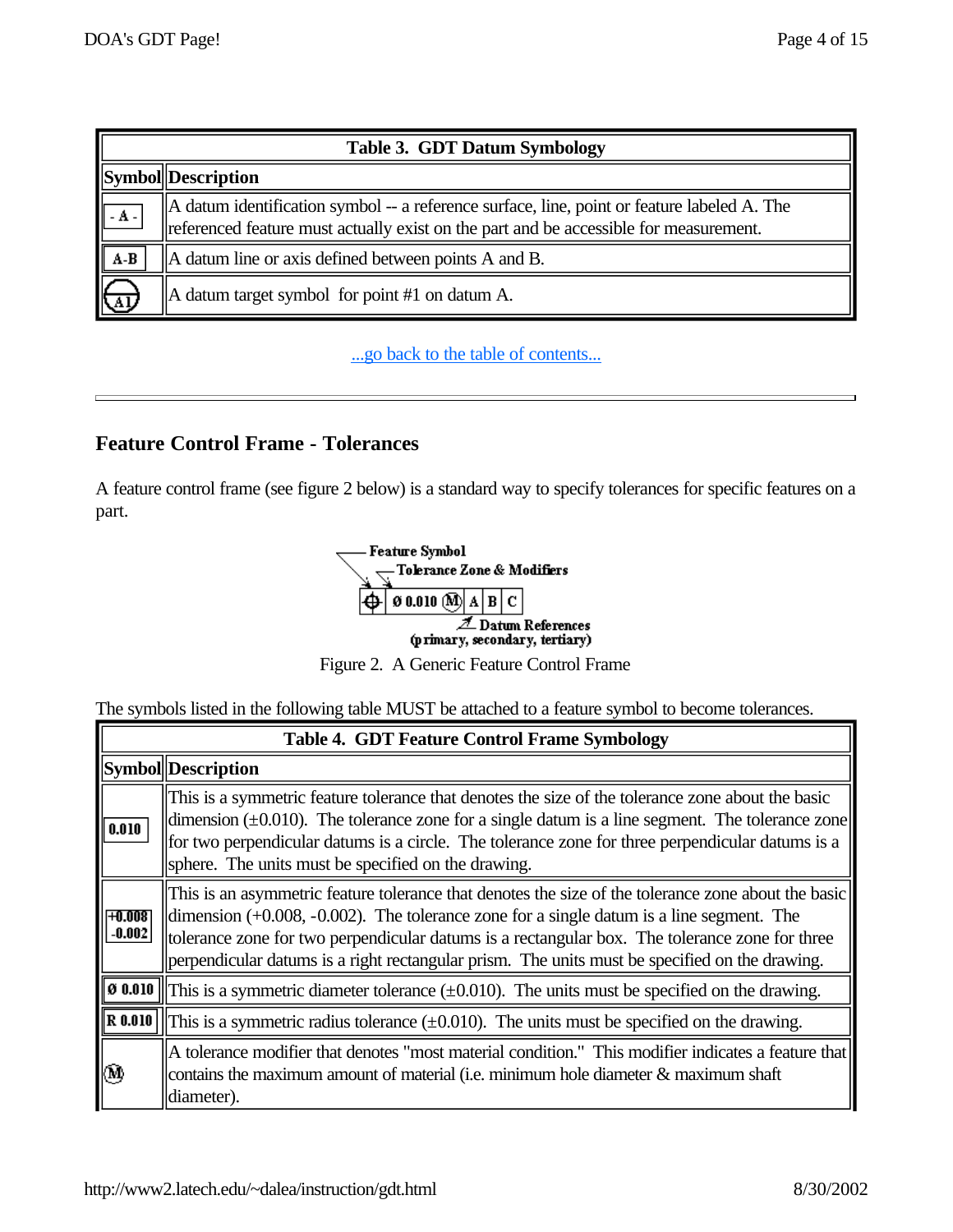|                                            | <b>Table 3. GDT Datum Symbology</b>                                                                                                                                                              |  |  |
|--------------------------------------------|--------------------------------------------------------------------------------------------------------------------------------------------------------------------------------------------------|--|--|
|                                            | <b>Symbol</b> Description                                                                                                                                                                        |  |  |
| $\mathbf{I}$ - $\mathbf{A}$ - $\mathbf{I}$ | $\parallel$ A datum identification symbol -- a reference surface, line, point or feature labeled A. The<br>referenced feature must actually exist on the part and be accessible for measurement. |  |  |
| $A-B$                                      | A datum line or axis defined between points A and B.                                                                                                                                             |  |  |
| ₹Ф                                         | $\parallel$ A datum target symbol for point #1 on datum A.                                                                                                                                       |  |  |

# **Feature Control Frame - Tolerances**

A feature control frame (see figure 2 below) is a standard way to specify tolerances for specific features on a part.



Figure 2. A Generic Feature Control Frame

The symbols listed in the following table MUST be attached to a feature symbol to become tolerances.

|                   | <b>Table 4. GDT Feature Control Frame Symbology</b>                                                                                                                                                                                                                                                                                                                                                    |  |  |
|-------------------|--------------------------------------------------------------------------------------------------------------------------------------------------------------------------------------------------------------------------------------------------------------------------------------------------------------------------------------------------------------------------------------------------------|--|--|
|                   | Symbol Description                                                                                                                                                                                                                                                                                                                                                                                     |  |  |
| 0.010             | This is a symmetric feature tolerance that denotes the size of the tolerance zone about the basic<br>dimension $(\pm 0.010)$ . The tolerance zone for a single datum is a line segment. The tolerance zone<br>for two perpendicular datums is a circle. The tolerance zone for three perpendicular datums is a<br>sphere. The units must be specified on the drawing.                                  |  |  |
| H.008<br>$-0.002$ | This is an asymmetric feature tolerance that denotes the size of the tolerance zone about the basic<br>dimension $(+0.008, -0.002)$ . The tolerance zone for a single datum is a line segment. The<br>tolerance zone for two perpendicular datums is a rectangular box. The tolerance zone for three<br>perpendicular datums is a right rectangular prism. The units must be specified on the drawing. |  |  |
| 0 0.010           | This is a symmetric diameter tolerance $(\pm 0.010)$ . The units must be specified on the drawing.                                                                                                                                                                                                                                                                                                     |  |  |
| R 0.010           | This is a symmetric radius tolerance $(\pm 0.010)$ . The units must be specified on the drawing.                                                                                                                                                                                                                                                                                                       |  |  |
| (M)               | A tolerance modifier that denotes "most material condition." This modifier indicates a feature that<br>contains the maximum amount of material (i.e. minimum hole diameter $\&$ maximum shaft<br>diameter).                                                                                                                                                                                            |  |  |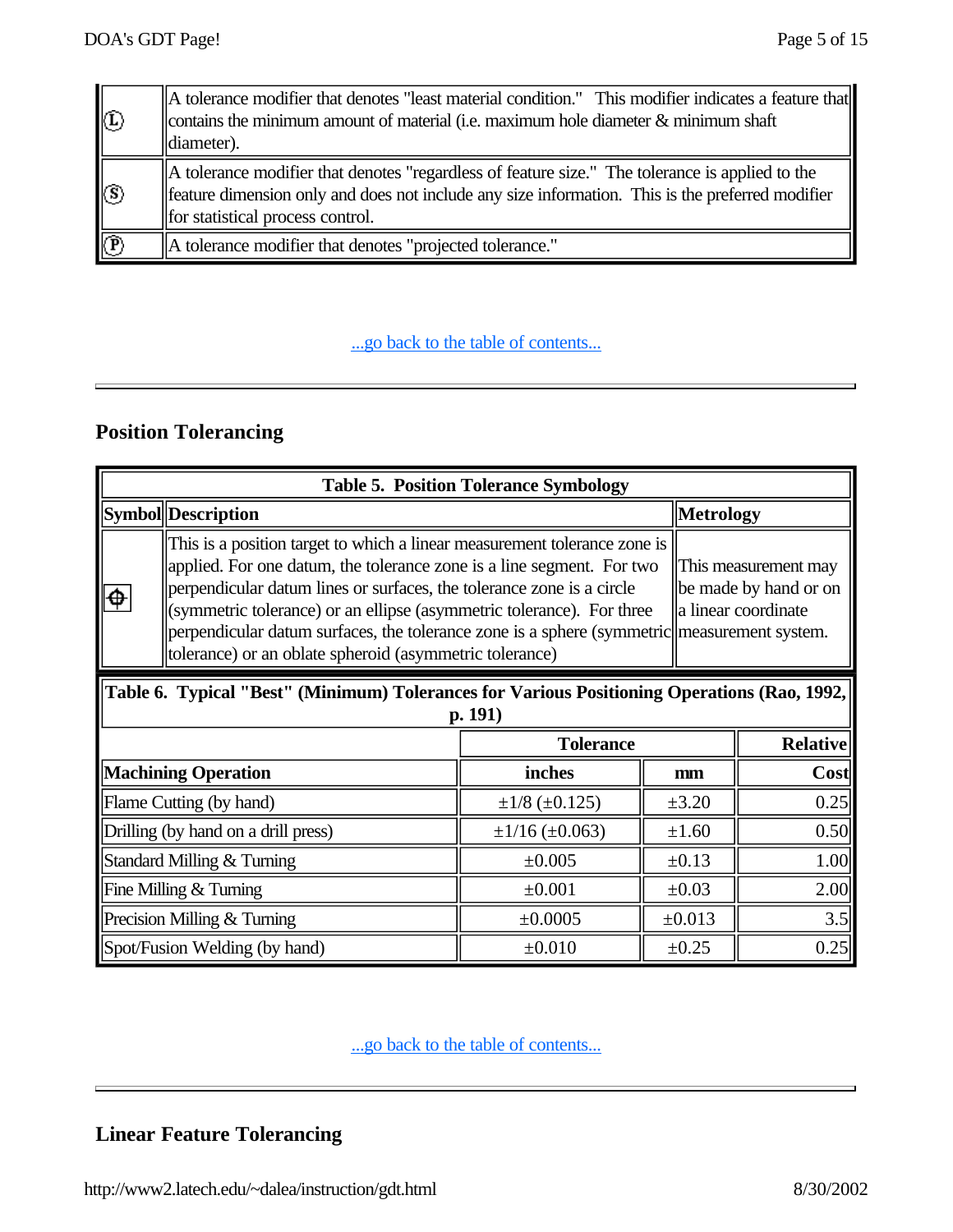| $\circled{0}$             | A tolerance modifier that denotes "least material condition." This modifier indicates a feature that<br>contains the minimum amount of material (i.e. maximum hole diameter $\&$ minimum shaft<br>$\vert$ diameter).                    |
|---------------------------|-----------------------------------------------------------------------------------------------------------------------------------------------------------------------------------------------------------------------------------------|
| $\circledS$               | A tolerance modifier that denotes "regardless of feature size." The tolerance is applied to the<br>feature dimension only and does not include any size information. This is the preferred modifier<br>for statistical process control. |
| $\overline{\mathfrak{B}}$ | A tolerance modifier that denotes "projected tolerance."                                                                                                                                                                                |

# **Position Tolerancing**

| <b>Table 5. Position Tolerance Symbology</b>                                                                                                                                                                                                                                                                                                                                                                                                                                                                                           |                           |                            |                 |                  |
|----------------------------------------------------------------------------------------------------------------------------------------------------------------------------------------------------------------------------------------------------------------------------------------------------------------------------------------------------------------------------------------------------------------------------------------------------------------------------------------------------------------------------------------|---------------------------|----------------------------|-----------------|------------------|
|                                                                                                                                                                                                                                                                                                                                                                                                                                                                                                                                        | <b>Symbol</b> Description |                            |                 | <b>Metrology</b> |
| This is a position target to which a linear measurement tolerance zone is<br>applied. For one datum, the tolerance zone is a line segment. For two<br>This measurement may<br>perpendicular datum lines or surfaces, the tolerance zone is a circle<br>be made by hand or on<br>a linear coordinate<br>(symmetric tolerance) or an ellipse (asymmetric tolerance). For three<br>perpendicular datum surfaces, the tolerance zone is a sphere (symmetric measurement system.<br>tolerance) or an oblate spheroid (asymmetric tolerance) |                           |                            |                 |                  |
| Table 6. Typical "Best" (Minimum) Tolerances for Various Positioning Operations (Rao, 1992,<br>p. 191)                                                                                                                                                                                                                                                                                                                                                                                                                                 |                           |                            |                 |                  |
| <b>Tolerance</b>                                                                                                                                                                                                                                                                                                                                                                                                                                                                                                                       |                           |                            | <b>Relative</b> |                  |
| <b>Machining Operation</b>                                                                                                                                                                                                                                                                                                                                                                                                                                                                                                             |                           | inches                     | mm              | Cost             |
| Flame Cutting (by hand)                                                                                                                                                                                                                                                                                                                                                                                                                                                                                                                |                           | $\pm 1/8$ ( $\pm 0.125$ )  | $\pm 3.20$      | 0.25             |
| Drilling (by hand on a drill press)                                                                                                                                                                                                                                                                                                                                                                                                                                                                                                    |                           | $\pm 1/16$ ( $\pm 0.063$ ) | $\pm 1.60$      | 0.50             |
| Standard Milling & Turning                                                                                                                                                                                                                                                                                                                                                                                                                                                                                                             |                           | $\pm 0.005$                | $\pm 0.13$      | 1.00             |
| Fine Milling & Turning                                                                                                                                                                                                                                                                                                                                                                                                                                                                                                                 |                           | ±0.001                     | $\pm 0.03$      | 2.00             |
| Precision Milling & Turning                                                                                                                                                                                                                                                                                                                                                                                                                                                                                                            |                           | ±0.0005                    | ±0.013          | 3.5              |
| Spot/Fusion Welding (by hand)                                                                                                                                                                                                                                                                                                                                                                                                                                                                                                          |                           | $\pm 0.010$                | ±0.25           | 0.25             |

...go back to the table of contents...

# **Linear Feature Tolerancing**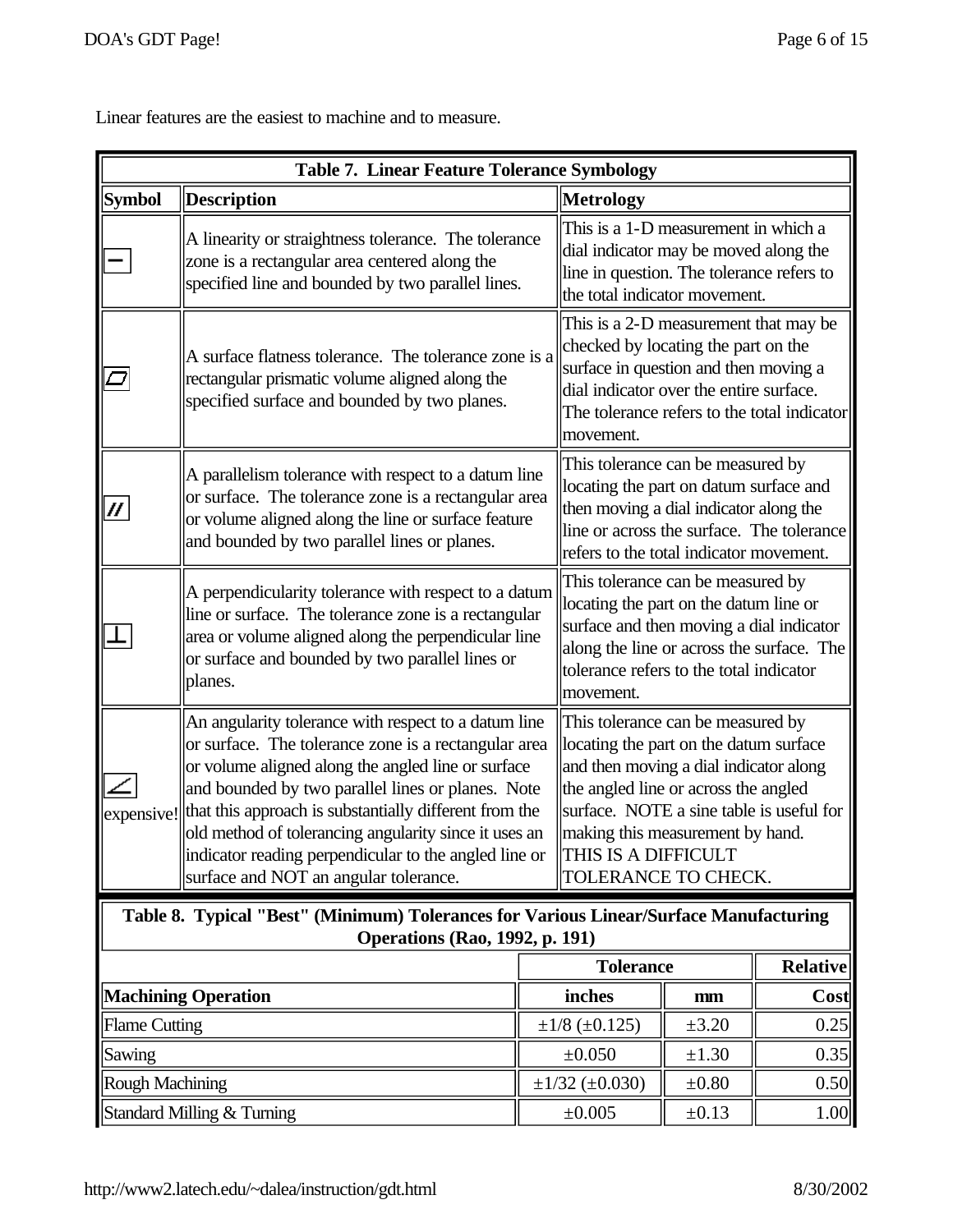Linear features are the easiest to machine and to measure.

| <b>Table 7. Linear Feature Tolerance Symbology</b>                                                                             |                                                                                                                                                                                                                                                                                                                                                                                                                                                                                                                                                                                                                                                                                                                                             |  |                                                                                                                                                                                                                              |            |                 |
|--------------------------------------------------------------------------------------------------------------------------------|---------------------------------------------------------------------------------------------------------------------------------------------------------------------------------------------------------------------------------------------------------------------------------------------------------------------------------------------------------------------------------------------------------------------------------------------------------------------------------------------------------------------------------------------------------------------------------------------------------------------------------------------------------------------------------------------------------------------------------------------|--|------------------------------------------------------------------------------------------------------------------------------------------------------------------------------------------------------------------------------|------------|-----------------|
| <b>Symbol</b>                                                                                                                  | <b>Description</b>                                                                                                                                                                                                                                                                                                                                                                                                                                                                                                                                                                                                                                                                                                                          |  | <b>Metrology</b>                                                                                                                                                                                                             |            |                 |
|                                                                                                                                | A linearity or straightness tolerance. The tolerance<br>zone is a rectangular area centered along the<br>specified line and bounded by two parallel lines.                                                                                                                                                                                                                                                                                                                                                                                                                                                                                                                                                                                  |  | This is a 1-D measurement in which a<br>dial indicator may be moved along the<br>line in question. The tolerance refers to<br>the total indicator movement.                                                                  |            |                 |
|                                                                                                                                | A surface flatness tolerance. The tolerance zone is a<br>rectangular prismatic volume aligned along the<br>specified surface and bounded by two planes.                                                                                                                                                                                                                                                                                                                                                                                                                                                                                                                                                                                     |  | This is a 2-D measurement that may be<br>checked by locating the part on the<br>surface in question and then moving a<br>dial indicator over the entire surface.<br>The tolerance refers to the total indicator<br>movement. |            |                 |
|                                                                                                                                | This tolerance can be measured by<br>A parallelism tolerance with respect to a datum line<br>locating the part on datum surface and<br>or surface. The tolerance zone is a rectangular area<br>then moving a dial indicator along the<br>or volume aligned along the line or surface feature<br>line or across the surface. The tolerance<br>and bounded by two parallel lines or planes.<br>refers to the total indicator movement.                                                                                                                                                                                                                                                                                                        |  |                                                                                                                                                                                                                              |            |                 |
|                                                                                                                                | This tolerance can be measured by<br>A perpendicularity tolerance with respect to a datum<br>locating the part on the datum line or<br>line or surface. The tolerance zone is a rectangular<br>surface and then moving a dial indicator<br>area or volume aligned along the perpendicular line<br>along the line or across the surface. The<br>or surface and bounded by two parallel lines or<br>tolerance refers to the total indicator<br>planes.<br>movement.                                                                                                                                                                                                                                                                           |  |                                                                                                                                                                                                                              |            |                 |
| expensive!                                                                                                                     | An angularity tolerance with respect to a datum line<br>This tolerance can be measured by<br>or surface. The tolerance zone is a rectangular area<br>locating the part on the datum surface<br>and then moving a dial indicator along<br>or volume aligned along the angled line or surface<br>and bounded by two parallel lines or planes. Note<br>the angled line or across the angled<br>that this approach is substantially different from the<br>surface. NOTE a sine table is useful for<br>old method of tolerancing angularity since it uses an<br>making this measurement by hand.<br>indicator reading perpendicular to the angled line or<br>THIS IS A DIFFICULT<br>surface and NOT an angular tolerance.<br>TOLERANCE TO CHECK. |  |                                                                                                                                                                                                                              |            |                 |
| Table 8. Typical "Best" (Minimum) Tolerances for Various Linear/Surface Manufacturing<br><b>Operations (Rao, 1992, p. 191)</b> |                                                                                                                                                                                                                                                                                                                                                                                                                                                                                                                                                                                                                                                                                                                                             |  |                                                                                                                                                                                                                              |            |                 |
|                                                                                                                                |                                                                                                                                                                                                                                                                                                                                                                                                                                                                                                                                                                                                                                                                                                                                             |  | <b>Tolerance</b>                                                                                                                                                                                                             |            | <b>Relative</b> |
| <b>Machining Operation</b>                                                                                                     |                                                                                                                                                                                                                                                                                                                                                                                                                                                                                                                                                                                                                                                                                                                                             |  | inches                                                                                                                                                                                                                       | mm         | Cost            |
| <b>Flame Cutting</b>                                                                                                           |                                                                                                                                                                                                                                                                                                                                                                                                                                                                                                                                                                                                                                                                                                                                             |  | $\pm 1/8$ ( $\pm 0.125$ )                                                                                                                                                                                                    | $\pm 3.20$ | 0.25            |
| Sawing                                                                                                                         |                                                                                                                                                                                                                                                                                                                                                                                                                                                                                                                                                                                                                                                                                                                                             |  | ±0.050                                                                                                                                                                                                                       | $\pm 1.30$ | 0.35            |
| <b>Rough Machining</b>                                                                                                         |                                                                                                                                                                                                                                                                                                                                                                                                                                                                                                                                                                                                                                                                                                                                             |  | $\pm 1/32$ ( $\pm 0.030$ )                                                                                                                                                                                                   | $\pm 0.80$ | 0.50            |
| Standard Milling & Turning                                                                                                     |                                                                                                                                                                                                                                                                                                                                                                                                                                                                                                                                                                                                                                                                                                                                             |  | $\pm 0.005$                                                                                                                                                                                                                  | $\pm 0.13$ | 1.00            |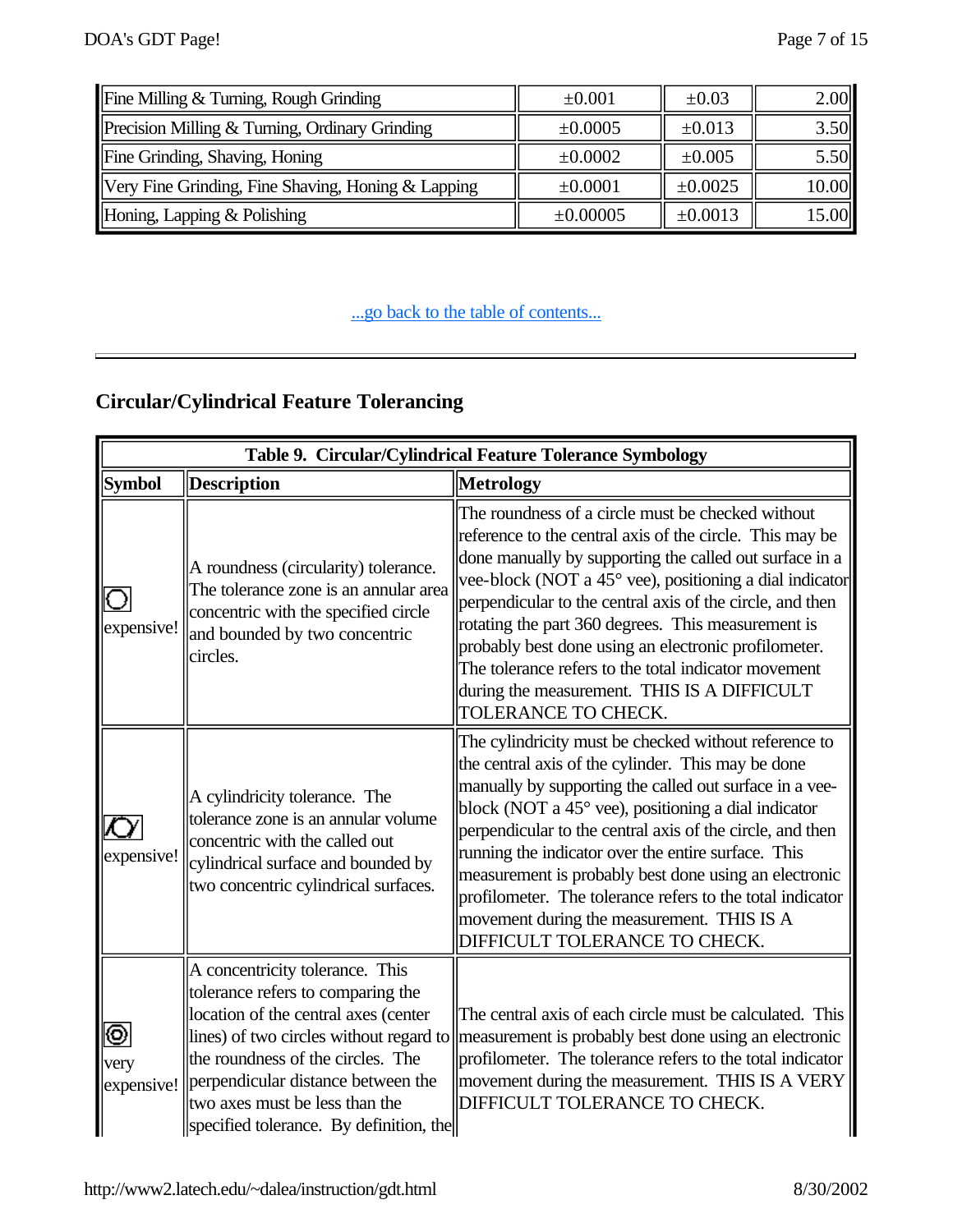| Fine Milling & Turning, Rough Grinding             | $\pm 0.001$ | $\pm 0.03$   | 2.00  |
|----------------------------------------------------|-------------|--------------|-------|
| Precision Milling & Turning, Ordinary Grinding     | ±0.0005     | ±0.013       | 3.50  |
| Fine Grinding, Shaving, Honing                     | ±0.0002     | ±0.005       | 5.50  |
| Very Fine Grinding, Fine Shaving, Honing & Lapping | ±0.0001     | $\pm 0.0025$ | 10.00 |
| Honing, Lapping & Polishing                        | ±0.00005    | ±0.0013      | 15.00 |

# **Circular/Cylindrical Feature Tolerancing**

|                         |                                                                                                                                                                                                                                                                                                                 | Table 9. Circular/Cylindrical Feature Tolerance Symbology                                                                                                                                                                                                                                                                                                                                                                                                                                                                                              |
|-------------------------|-----------------------------------------------------------------------------------------------------------------------------------------------------------------------------------------------------------------------------------------------------------------------------------------------------------------|--------------------------------------------------------------------------------------------------------------------------------------------------------------------------------------------------------------------------------------------------------------------------------------------------------------------------------------------------------------------------------------------------------------------------------------------------------------------------------------------------------------------------------------------------------|
| <b>Symbol</b>           | <b>Description</b>                                                                                                                                                                                                                                                                                              | <b>Metrology</b>                                                                                                                                                                                                                                                                                                                                                                                                                                                                                                                                       |
| ЮI<br>expensive!        | A roundness (circularity) tolerance.<br>The tolerance zone is an annular area<br>concentric with the specified circle<br>and bounded by two concentric<br>circles.                                                                                                                                              | The roundness of a circle must be checked without<br>reference to the central axis of the circle. This may be<br>done manually by supporting the called out surface in a<br>vee-block (NOT a 45° vee), positioning a dial indicator<br>perpendicular to the central axis of the circle, and then<br>rotating the part 360 degrees. This measurement is<br>probably best done using an electronic profilometer.<br>The tolerance refers to the total indicator movement<br>during the measurement. THIS IS A DIFFICULT<br>TOLERANCE TO CHECK.           |
| expensive!              | A cylindricity tolerance. The<br>tolerance zone is an annular volume<br>concentric with the called out<br>cylindrical surface and bounded by<br>two concentric cylindrical surfaces.                                                                                                                            | The cylindricity must be checked without reference to<br>the central axis of the cylinder. This may be done<br>manually by supporting the called out surface in a vee-<br>block (NOT a 45° vee), positioning a dial indicator<br>perpendicular to the central axis of the circle, and then<br>running the indicator over the entire surface. This<br>measurement is probably best done using an electronic<br>profilometer. The tolerance refers to the total indicator<br>movement during the measurement. THIS IS A<br>DIFFICULT TOLERANCE TO CHECK. |
| ⊚<br>very<br>expensive! | A concentricity tolerance. This<br>tolerance refers to comparing the<br>location of the central axes (center<br>lines) of two circles without regard to<br>the roundness of the circles. The<br>perpendicular distance between the<br>two axes must be less than the<br>specified tolerance. By definition, the | The central axis of each circle must be calculated. This<br>measurement is probably best done using an electronic<br>profilometer. The tolerance refers to the total indicator<br>movement during the measurement. THIS IS A VERY<br>DIFFICULT TOLERANCE TO CHECK.                                                                                                                                                                                                                                                                                     |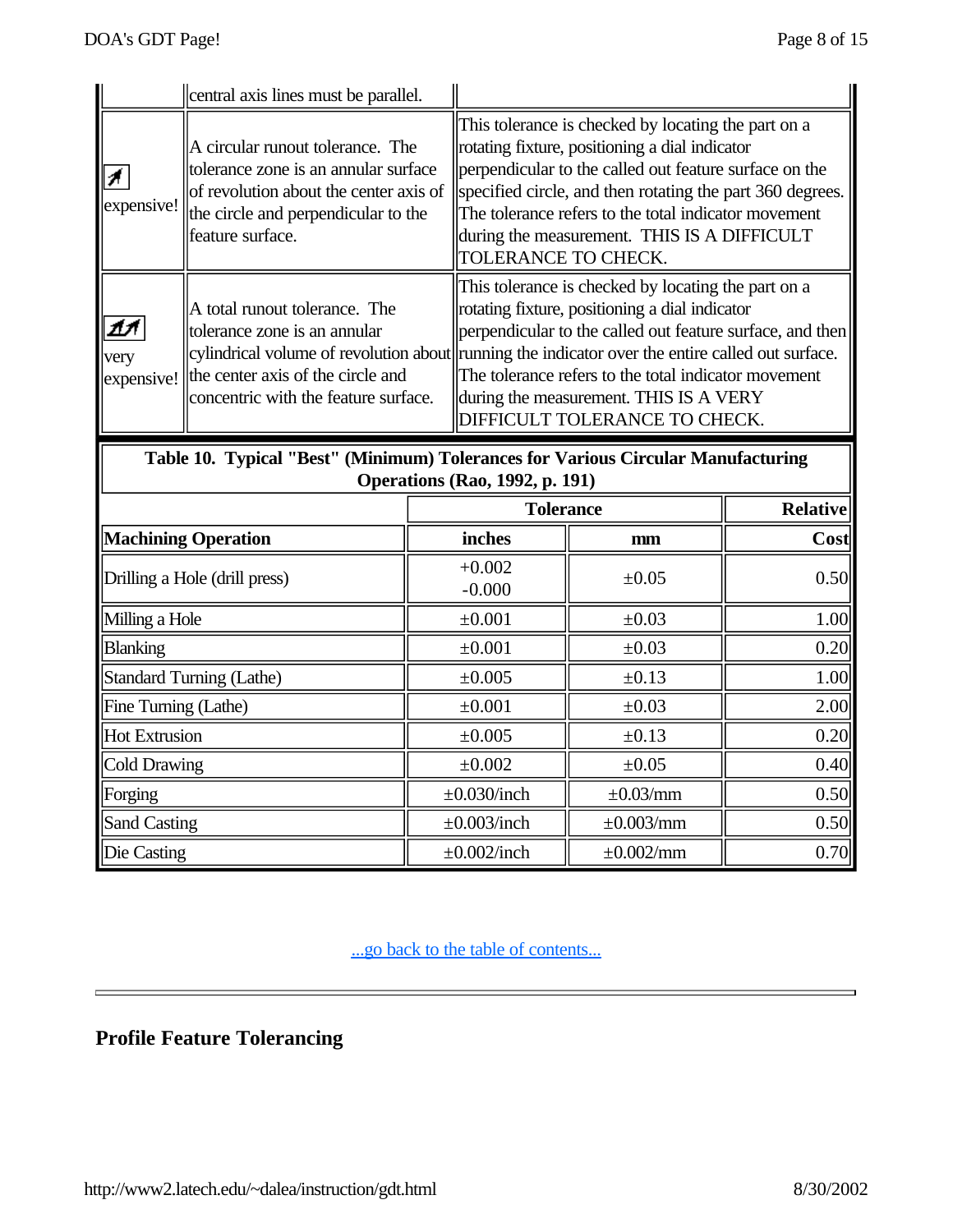|                    | central axis lines must be parallel.                                                                                                                                          |                                                                                                                                                                                                                                                                                                                                                                                                           |
|--------------------|-------------------------------------------------------------------------------------------------------------------------------------------------------------------------------|-----------------------------------------------------------------------------------------------------------------------------------------------------------------------------------------------------------------------------------------------------------------------------------------------------------------------------------------------------------------------------------------------------------|
| expensive!         | A circular runout tolerance. The<br>tolerance zone is an annular surface<br>of revolution about the center axis of<br>the circle and perpendicular to the<br>feature surface. | This tolerance is checked by locating the part on a<br>rotating fixture, positioning a dial indicator<br>perpendicular to the called out feature surface on the<br>specified circle, and then rotating the part 360 degrees.<br>The tolerance refers to the total indicator movement<br>during the measurement. THIS IS A DIFFICULT<br><b>TOLERANCE TO CHECK.</b>                                         |
| very<br>expensive! | A total runout tolerance. The<br>tolerance zone is an annular<br>the center axis of the circle and<br>concentric with the feature surface.                                    | This tolerance is checked by locating the part on a<br>rotating fixture, positioning a dial indicator<br>perpendicular to the called out feature surface, and then<br>cylindrical volume of revolution about running the indicator over the entire called out surface.<br>The tolerance refers to the total indicator movement<br>during the measurement. THIS IS A VERY<br>DIFFICULT TOLERANCE TO CHECK. |

**Table 10. Typical "Best" (Minimum) Tolerances for Various Circular Manufacturing Operations (Rao, 1992, p. 191)**

|                               | <b>Tolerance</b>     | <b>Relative</b>        |      |
|-------------------------------|----------------------|------------------------|------|
| <b>Machining Operation</b>    | inches               | mm                     | Cost |
| Drilling a Hole (drill press) | $+0.002$<br>$-0.000$ | $\pm 0.05$             | 0.50 |
| Milling a Hole                | $\pm 0.001$          | $\pm 0.03$             | 1.00 |
| <b>Blanking</b>               | $\pm 0.001$          | $\pm 0.03$             | 0.20 |
| Standard Turning (Lathe)      | ±0.005               | $\pm 0.13$             | 1.00 |
| Fine Turning (Lathe)          | $\pm 0.001$          | $\pm 0.03$             | 2.00 |
| Hot Extrusion                 | ±0.005               | $\pm 0.13$             | 0.20 |
| Cold Drawing                  | $\pm 0.002$          | $\pm 0.05$             | 0.40 |
| Forging                       | $\pm 0.030$ /inch    | $\pm 0.03/mm$          | 0.50 |
| <b>Sand Casting</b>           | $\pm 0.003$ /inch    | $\pm 0.003$ /mm        | 0.50 |
| Die Casting                   | $\pm 0.002$ /inch    | $\pm 0.002 \text{/mm}$ | 0.70 |

...go back to the table of contents...

# **Profile Feature Tolerancing**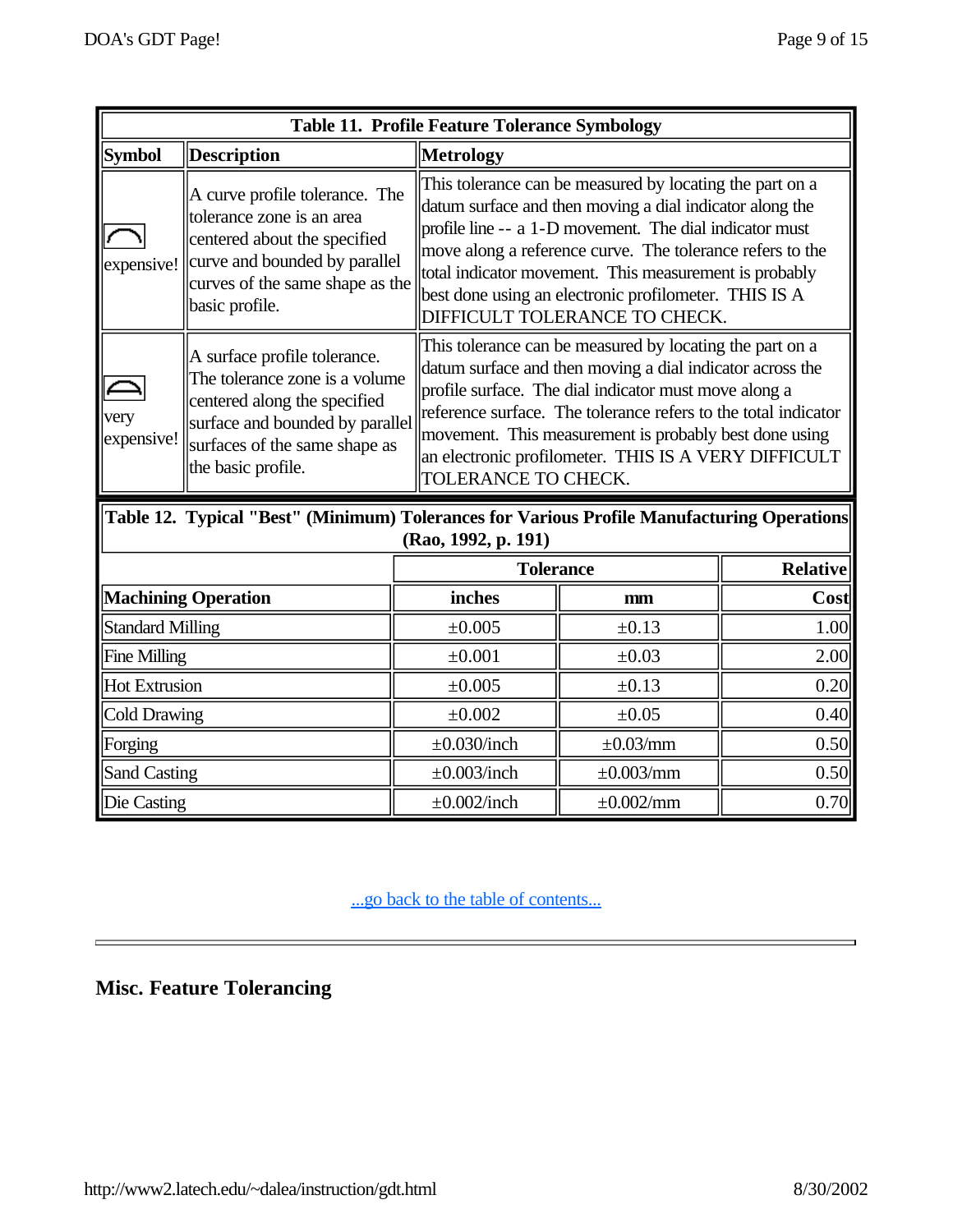| <b>Table 11. Profile Feature Tolerance Symbology</b> |                                                                                                                                                                                          |                     |                                                                                                                                                                                                                                                                                                                                                                                                  |      |  |  |  |  |
|------------------------------------------------------|------------------------------------------------------------------------------------------------------------------------------------------------------------------------------------------|---------------------|--------------------------------------------------------------------------------------------------------------------------------------------------------------------------------------------------------------------------------------------------------------------------------------------------------------------------------------------------------------------------------------------------|------|--|--|--|--|
| <b>Symbol</b>                                        | <b>Description</b>                                                                                                                                                                       | <b>Metrology</b>    |                                                                                                                                                                                                                                                                                                                                                                                                  |      |  |  |  |  |
| expensive!                                           | A curve profile tolerance. The<br>tolerance zone is an area<br>centered about the specified<br>curve and bounded by parallel<br>curves of the same shape as the<br>basic profile.        |                     | This tolerance can be measured by locating the part on a<br>datum surface and then moving a dial indicator along the<br>profile line -- a 1-D movement. The dial indicator must<br>move along a reference curve. The tolerance refers to the<br>total indicator movement. This measurement is probably<br>best done using an electronic profilometer. THIS IS A<br>DIFFICULT TOLERANCE TO CHECK. |      |  |  |  |  |
| very<br>expensive!                                   | A surface profile tolerance.<br>The tolerance zone is a volume<br>centered along the specified<br>surface and bounded by parallel<br>surfaces of the same shape as<br>the basic profile. |                     | This tolerance can be measured by locating the part on a<br>datum surface and then moving a dial indicator across the<br>profile surface. The dial indicator must move along a<br>reference surface. The tolerance refers to the total indicator<br>movement. This measurement is probably best done using<br>an electronic profilometer. THIS IS A VERY DIFFICULT<br>TOLERANCE TO CHECK.        |      |  |  |  |  |
|                                                      | Table 12. Typical "Best" (Minimum) Tolerances for Various Profile Manufacturing Operations                                                                                               | (Rao, 1992, p. 191) |                                                                                                                                                                                                                                                                                                                                                                                                  |      |  |  |  |  |
|                                                      |                                                                                                                                                                                          |                     | <b>Tolerance</b>                                                                                                                                                                                                                                                                                                                                                                                 |      |  |  |  |  |
| <b>Machining Operation</b>                           |                                                                                                                                                                                          | inches              | mm                                                                                                                                                                                                                                                                                                                                                                                               | Cost |  |  |  |  |
| <b>Standard Milling</b>                              |                                                                                                                                                                                          | $\pm 0.005$         | $\pm 0.13$                                                                                                                                                                                                                                                                                                                                                                                       | 1.00 |  |  |  |  |
| <b>Fine Milling</b>                                  |                                                                                                                                                                                          | $\pm 0.001$         | $\pm 0.03$                                                                                                                                                                                                                                                                                                                                                                                       | 2.00 |  |  |  |  |
| <b>Hot Extrusion</b>                                 |                                                                                                                                                                                          | $\pm 0.005$         | $\pm 0.13$                                                                                                                                                                                                                                                                                                                                                                                       | 0.20 |  |  |  |  |
| <b>Cold Drawing</b>                                  |                                                                                                                                                                                          | $\pm 0.002$         | $\pm 0.05$                                                                                                                                                                                                                                                                                                                                                                                       | 0.40 |  |  |  |  |
| Forging                                              |                                                                                                                                                                                          | $\pm 0.030$ /inch   | $\pm 0.03/mm$                                                                                                                                                                                                                                                                                                                                                                                    | 0.50 |  |  |  |  |
| <b>Sand Casting</b>                                  |                                                                                                                                                                                          | $\pm 0.003$ /inch   | $\pm 0.003/mm$                                                                                                                                                                                                                                                                                                                                                                                   | 0.50 |  |  |  |  |
| Die Casting                                          |                                                                                                                                                                                          | $\pm 0.002$ /inch   | $\pm 0.002$ /mm                                                                                                                                                                                                                                                                                                                                                                                  | 0.70 |  |  |  |  |

# **Misc. Feature Tolerancing**

Н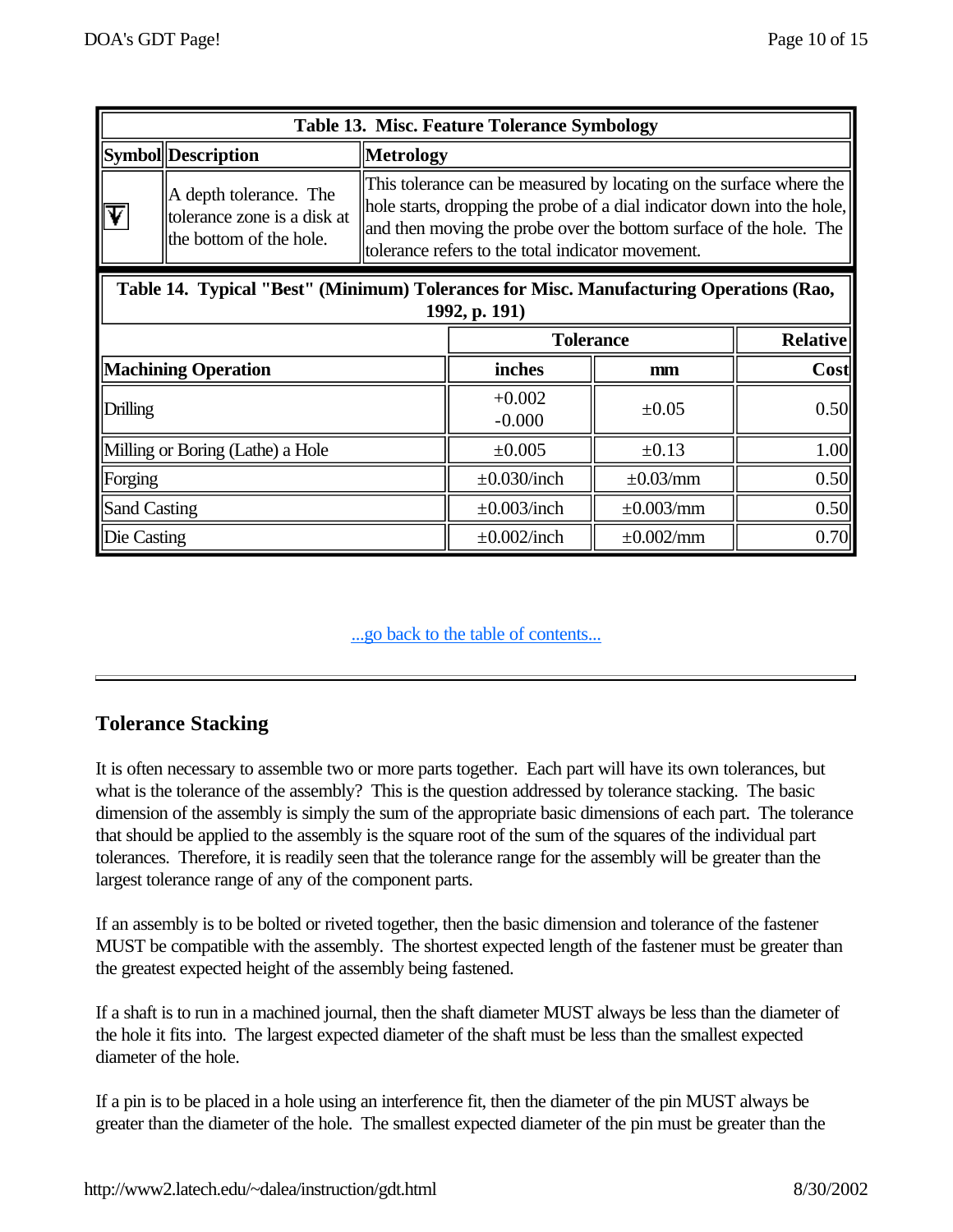| Table 13. Misc. Feature Tolerance Symbology                                                             |                                                                                  |                                                                                                                                                                                                                                                                           |                        |                 |  |  |  |  |
|---------------------------------------------------------------------------------------------------------|----------------------------------------------------------------------------------|---------------------------------------------------------------------------------------------------------------------------------------------------------------------------------------------------------------------------------------------------------------------------|------------------------|-----------------|--|--|--|--|
|                                                                                                         | Symbol Description                                                               | <b>Metrology</b>                                                                                                                                                                                                                                                          |                        |                 |  |  |  |  |
|                                                                                                         | A depth tolerance. The<br>tolerance zone is a disk at<br>the bottom of the hole. | This tolerance can be measured by locating on the surface where the<br>hole starts, dropping the probe of a dial indicator down into the hole,<br>and then moving the probe over the bottom surface of the hole. The<br>tolerance refers to the total indicator movement. |                        |                 |  |  |  |  |
| Table 14. Typical "Best" (Minimum) Tolerances for Misc. Manufacturing Operations (Rao,<br>1992, p. 191) |                                                                                  |                                                                                                                                                                                                                                                                           |                        |                 |  |  |  |  |
|                                                                                                         |                                                                                  | <b>Tolerance</b>                                                                                                                                                                                                                                                          |                        | <b>Relative</b> |  |  |  |  |
| <b>Machining Operation</b>                                                                              |                                                                                  | inches                                                                                                                                                                                                                                                                    | mm                     | Cost            |  |  |  |  |
| Drilling                                                                                                |                                                                                  | $+0.002$<br>$-0.000$                                                                                                                                                                                                                                                      | $\pm 0.05$             | 0.50            |  |  |  |  |
| Milling or Boring (Lathe) a Hole                                                                        |                                                                                  | ±0.005                                                                                                                                                                                                                                                                    | $\pm 0.13$             | 1.00            |  |  |  |  |
| Forging                                                                                                 |                                                                                  | $\pm 0.030$ /inch                                                                                                                                                                                                                                                         | $\pm 0.03$ /mm         | 0.50            |  |  |  |  |
| <b>Sand Casting</b>                                                                                     |                                                                                  | $\pm 0.003$ /inch                                                                                                                                                                                                                                                         | $\pm 0.003/mm$         | 0.50            |  |  |  |  |
| Die Casting                                                                                             |                                                                                  | $\pm 0.002$ /inch                                                                                                                                                                                                                                                         | $\pm 0.002 \text{/mm}$ | 0.70            |  |  |  |  |

## **Tolerance Stacking**

It is often necessary to assemble two or more parts together. Each part will have its own tolerances, but what is the tolerance of the assembly? This is the question addressed by tolerance stacking. The basic dimension of the assembly is simply the sum of the appropriate basic dimensions of each part. The tolerance that should be applied to the assembly is the square root of the sum of the squares of the individual part tolerances. Therefore, it is readily seen that the tolerance range for the assembly will be greater than the largest tolerance range of any of the component parts.

If an assembly is to be bolted or riveted together, then the basic dimension and tolerance of the fastener MUST be compatible with the assembly. The shortest expected length of the fastener must be greater than the greatest expected height of the assembly being fastened.

If a shaft is to run in a machined journal, then the shaft diameter MUST always be less than the diameter of the hole it fits into. The largest expected diameter of the shaft must be less than the smallest expected diameter of the hole.

If a pin is to be placed in a hole using an interference fit, then the diameter of the pin MUST always be greater than the diameter of the hole. The smallest expected diameter of the pin must be greater than the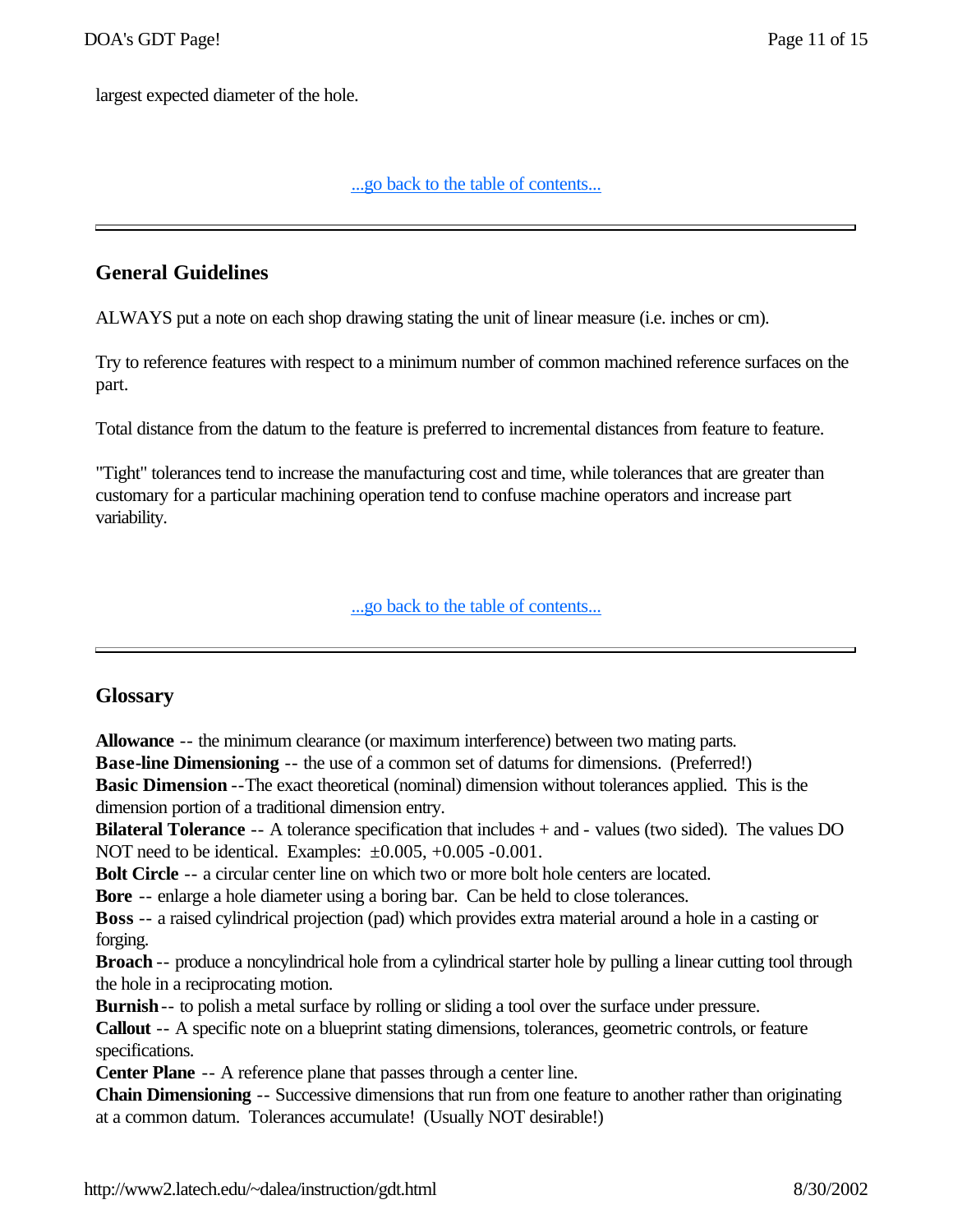largest expected diameter of the hole.

#### ...go back to the table of contents...

## **General Guidelines**

ALWAYS put a note on each shop drawing stating the unit of linear measure (i.e. inches or cm).

Try to reference features with respect to a minimum number of common machined reference surfaces on the part.

Total distance from the datum to the feature is preferred to incremental distances from feature to feature.

"Tight" tolerances tend to increase the manufacturing cost and time, while tolerances that are greater than customary for a particular machining operation tend to confuse machine operators and increase part variability.

#### ...go back to the table of contents...

#### **Glossary**

**Allowance** -- the minimum clearance (or maximum interference) between two mating parts.

**Base-line Dimensioning** -- the use of a common set of datums for dimensions. (Preferred!)

**Basic Dimension** --The exact theoretical (nominal) dimension without tolerances applied. This is the dimension portion of a traditional dimension entry.

**Bilateral Tolerance** -- A tolerance specification that includes + and - values (two sided). The values DO NOT need to be identical. Examples:  $\pm 0.005$ , +0.005 -0.001.

**Bolt Circle** -- a circular center line on which two or more bolt hole centers are located.

**Bore** -- enlarge a hole diameter using a boring bar. Can be held to close tolerances.

**Boss** -- a raised cylindrical projection (pad) which provides extra material around a hole in a casting or forging.

**Broach** -- produce a noncylindrical hole from a cylindrical starter hole by pulling a linear cutting tool through the hole in a reciprocating motion.

**Burnish**-- to polish a metal surface by rolling or sliding a tool over the surface under pressure.

**Callout** -- A specific note on a blueprint stating dimensions, tolerances, geometric controls, or feature specifications.

**Center Plane** -- A reference plane that passes through a center line.

**Chain Dimensioning** -- Successive dimensions that run from one feature to another rather than originating at a common datum. Tolerances accumulate! (Usually NOT desirable!)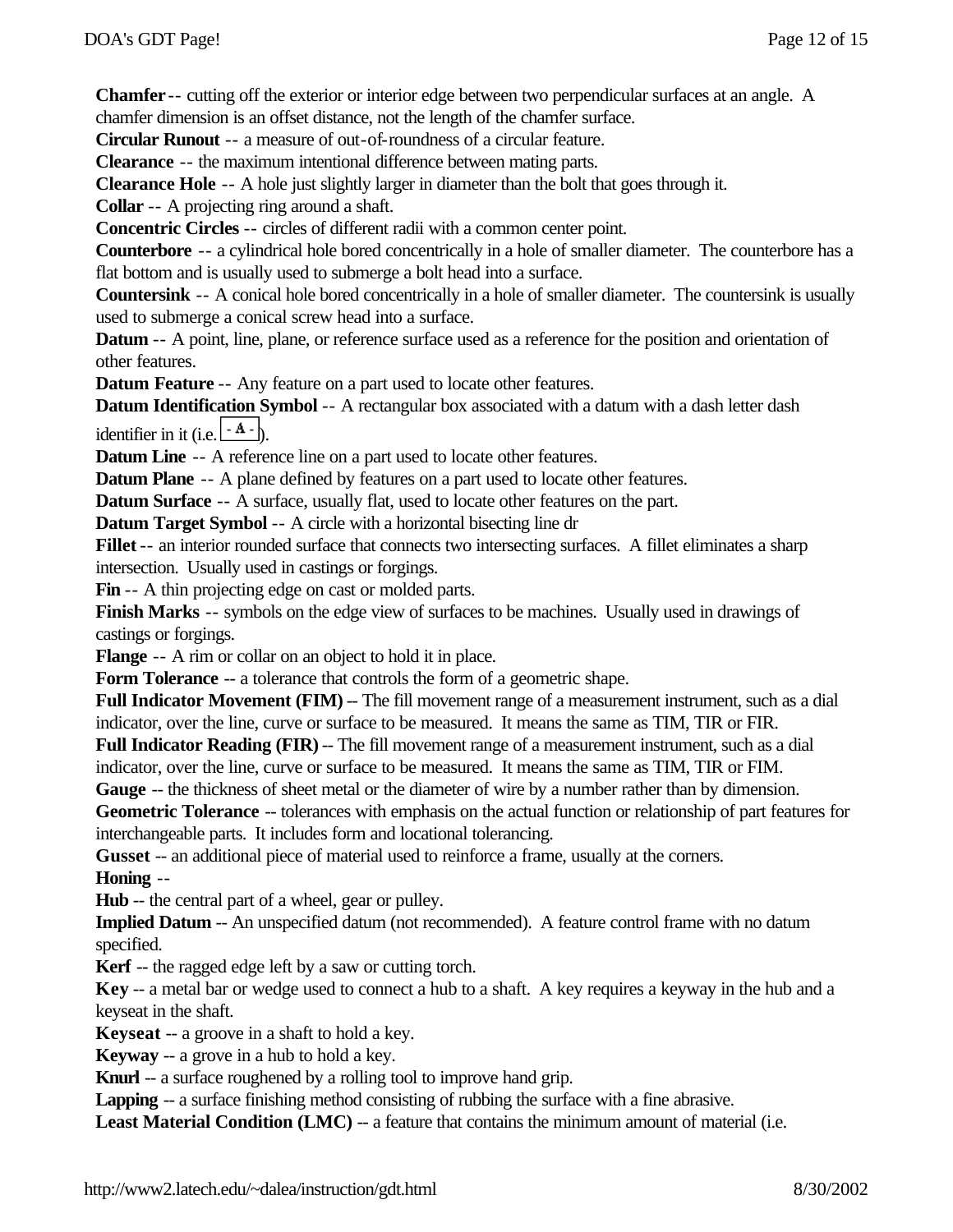**Chamfer** -- cutting off the exterior or interior edge between two perpendicular surfaces at an angle. A chamfer dimension is an offset distance, not the length of the chamfer surface.

**Circular Runout** -- a measure of out-of-roundness of a circular feature.

**Clearance** -- the maximum intentional difference between mating parts.

**Clearance Hole** -- A hole just slightly larger in diameter than the bolt that goes through it.

**Collar** -- A projecting ring around a shaft.

**Concentric Circles** -- circles of different radii with a common center point.

**Counterbore** -- a cylindrical hole bored concentrically in a hole of smaller diameter. The counterbore has a flat bottom and is usually used to submerge a bolt head into a surface.

**Countersink** -- A conical hole bored concentrically in a hole of smaller diameter. The countersink is usually used to submerge a conical screw head into a surface.

**Datum** -- A point, line, plane, or reference surface used as a reference for the position and orientation of other features.

**Datum Feature** -- Any feature on a part used to locate other features.

**Datum Identification Symbol** -- A rectangular box associated with a datum with a dash letter dash identifier in it (i.e.  $\left| \frac{\cdot A}{\cdot B} \right|$ ).

**Datum Line** -- A reference line on a part used to locate other features.

**Datum Plane** -- A plane defined by features on a part used to locate other features.

**Datum Surface** -- A surface, usually flat, used to locate other features on the part.

**Datum Target Symbol** -- A circle with a horizontal bisecting line dr

**Fillet** -- an interior rounded surface that connects two intersecting surfaces. A fillet eliminates a sharp intersection. Usually used in castings or forgings.

Fin -- A thin projecting edge on cast or molded parts.

**Finish Marks** -- symbols on the edge view of surfaces to be machines. Usually used in drawings of castings or forgings.

**Flange** -- A rim or collar on an object to hold it in place.

**Form Tolerance** -- a tolerance that controls the form of a geometric shape.

Full Indicator Movement (FIM) -- The fill movement range of a measurement instrument, such as a dial indicator, over the line, curve or surface to be measured. It means the same as TIM, TIR or FIR.

**Full Indicator Reading (FIR)** -- The fill movement range of a measurement instrument, such as a dial indicator, over the line, curve or surface to be measured. It means the same as TIM, TIR or FIM.

**Gauge** -- the thickness of sheet metal or the diameter of wire by a number rather than by dimension.

**Geometric Tolerance** -- tolerances with emphasis on the actual function or relationship of part features for interchangeable parts. It includes form and locational tolerancing.

**Gusset** -- an additional piece of material used to reinforce a frame, usually at the corners. **Honing** --

**Hub** -- the central part of a wheel, gear or pulley.

**Implied Datum** -- An unspecified datum (not recommended). A feature control frame with no datum specified.

**Kerf** -- the ragged edge left by a saw or cutting torch.

**Key** -- a metal bar or wedge used to connect a hub to a shaft. A key requires a keyway in the hub and a keyseat in the shaft.

**Keyseat** -- a groove in a shaft to hold a key.

**Keyway** -- a grove in a hub to hold a key.

**Knurl** -- a surface roughened by a rolling tool to improve hand grip.

**Lapping** -- a surface finishing method consisting of rubbing the surface with a fine abrasive.

**Least Material Condition (LMC)** -- a feature that contains the minimum amount of material (i.e.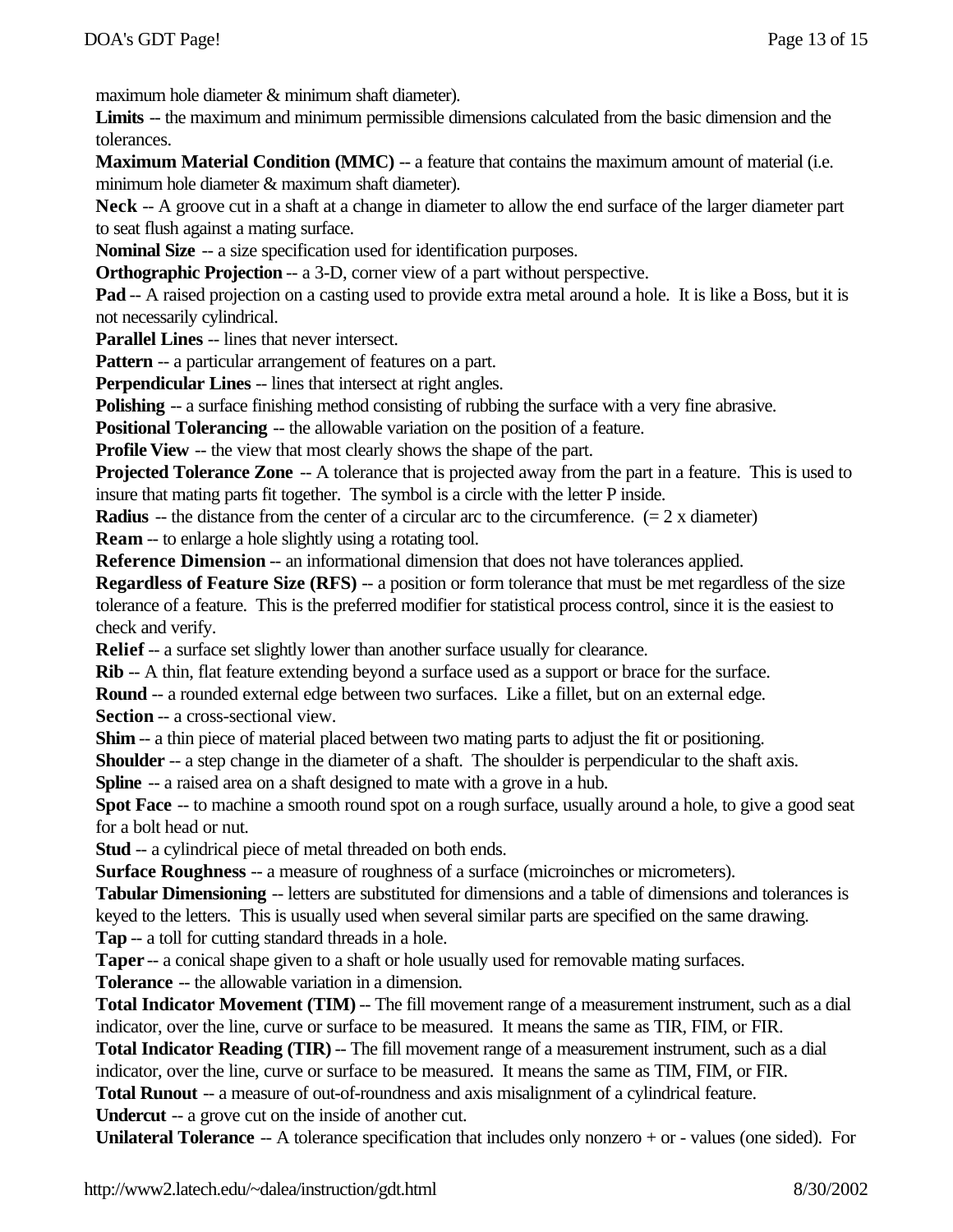maximum hole diameter & minimum shaft diameter).

**Limits** -- the maximum and minimum permissible dimensions calculated from the basic dimension and the tolerances.

**Maximum Material Condition (MMC)** -- a feature that contains the maximum amount of material (i.e. minimum hole diameter & maximum shaft diameter).

**Neck** -- A groove cut in a shaft at a change in diameter to allow the end surface of the larger diameter part to seat flush against a mating surface.

**Nominal Size** -- a size specification used for identification purposes.

**Orthographic Projection** -- a 3-D, corner view of a part without perspective.

**Pad** -- A raised projection on a casting used to provide extra metal around a hole. It is like a Boss, but it is not necessarily cylindrical.

**Parallel Lines** -- lines that never intersect.

**Pattern** -- a particular arrangement of features on a part.

**Perpendicular Lines** -- lines that intersect at right angles.

**Polishing** -- a surface finishing method consisting of rubbing the surface with a very fine abrasive.

**Positional Tolerancing --** the allowable variation on the position of a feature.

**Profile View --** the view that most clearly shows the shape of the part.

**Projected Tolerance Zone** -- A tolerance that is projected away from the part in a feature. This is used to insure that mating parts fit together. The symbol is a circle with the letter P inside.

**Radius** -- the distance from the center of a circular arc to the circumference.  $(= 2 \times$  diameter)

**Ream** -- to enlarge a hole slightly using a rotating tool.

**Reference Dimension** -- an informational dimension that does not have tolerances applied.

**Regardless of Feature Size (RFS)** -- a position or form tolerance that must be met regardless of the size tolerance of a feature. This is the preferred modifier for statistical process control, since it is the easiest to check and verify.

**Relief** -- a surface set slightly lower than another surface usually for clearance.

**Rib** -- A thin, flat feature extending beyond a surface used as a support or brace for the surface.

**Round** -- a rounded external edge between two surfaces. Like a fillet, but on an external edge.

**Section** -- a cross-sectional view.

**Shim** -- a thin piece of material placed between two mating parts to adjust the fit or positioning.

**Shoulder** -- a step change in the diameter of a shaft. The shoulder is perpendicular to the shaft axis.

**Spline** -- a raised area on a shaft designed to mate with a grove in a hub.

**Spot Face** -- to machine a smooth round spot on a rough surface, usually around a hole, to give a good seat for a bolt head or nut.

**Stud** -- a cylindrical piece of metal threaded on both ends.

**Surface Roughness** -- a measure of roughness of a surface (microinches or micrometers).

**Tabular Dimensioning** -- letters are substituted for dimensions and a table of dimensions and tolerances is keyed to the letters. This is usually used when several similar parts are specified on the same drawing.

**Tap** -- a toll for cutting standard threads in a hole.

**Taper** -- a conical shape given to a shaft or hole usually used for removable mating surfaces.

**Tolerance** -- the allowable variation in a dimension.

**Total Indicator Movement (TIM)** -- The fill movement range of a measurement instrument, such as a dial indicator, over the line, curve or surface to be measured. It means the same as TIR, FIM, or FIR.

**Total Indicator Reading (TIR)** -- The fill movement range of a measurement instrument, such as a dial

indicator, over the line, curve or surface to be measured. It means the same as TIM, FIM, or FIR.

**Total Runout** -- a measure of out-of-roundness and axis misalignment of a cylindrical feature.

**Undercut** -- a grove cut on the inside of another cut.

**Unilateral Tolerance** -- A tolerance specification that includes only nonzero + or - values (one sided). For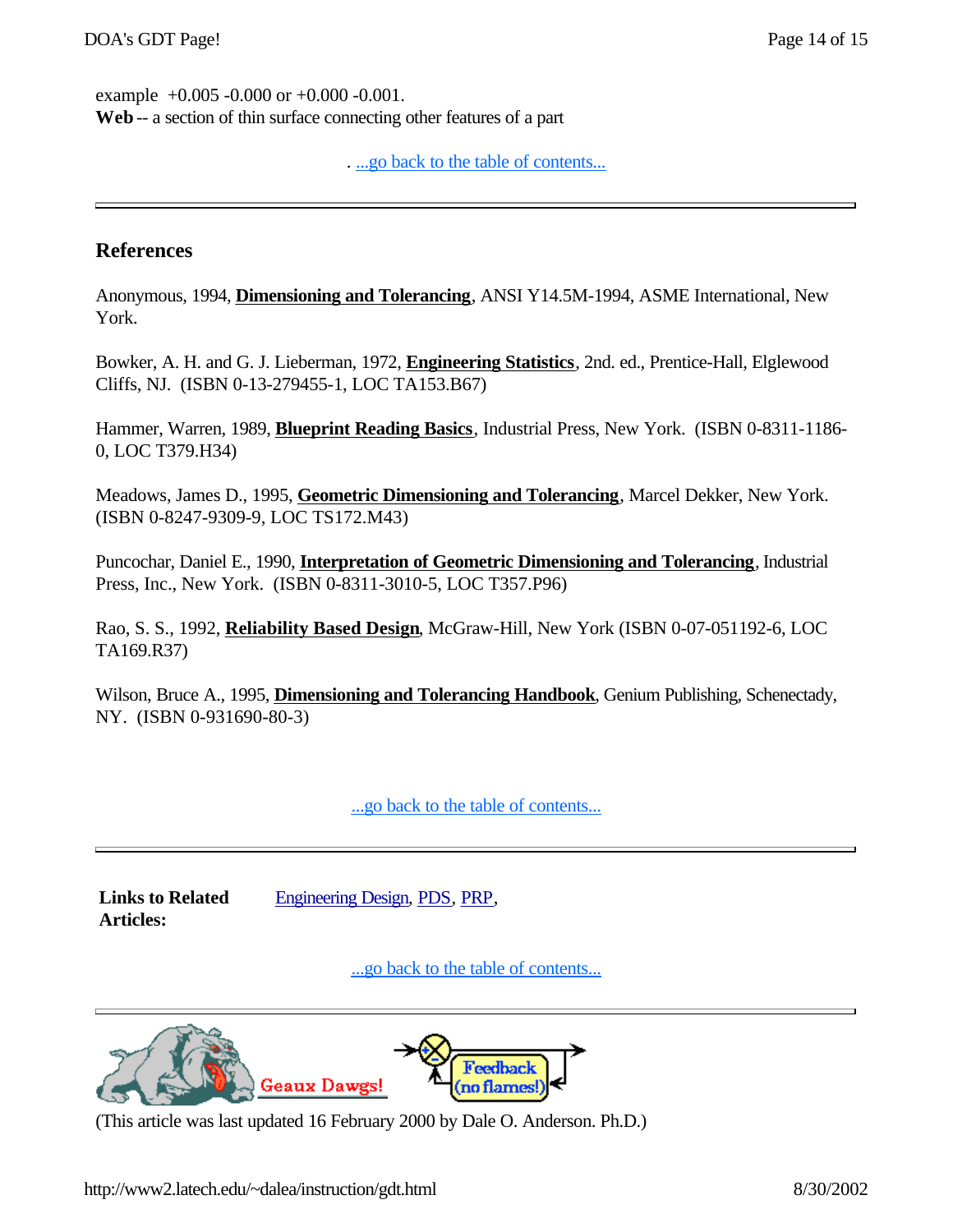example +0.005 -0.000 or +0.000 -0.001. **Web** -- a section of thin surface connecting other features of a part

...go back to the table of contents...

## **References**

Anonymous, 1994, **Dimensioning and Tolerancing**, ANSI Y14.5M-1994, ASME International, New York.

Bowker, A. H. and G. J. Lieberman, 1972, **Engineering Statistics**, 2nd. ed., Prentice-Hall, Elglewood Cliffs, NJ. (ISBN 0-13-279455-1, LOC TA153.B67)

Hammer, Warren, 1989, **Blueprint Reading Basics**, Industrial Press, New York. (ISBN 0-8311-1186- 0, LOC T379.H34)

Meadows, James D., 1995, **Geometric Dimensioning and Tolerancing**, Marcel Dekker, New York. (ISBN 0-8247-9309-9, LOC TS172.M43)

Puncochar, Daniel E., 1990, **Interpretation of Geometric Dimensioning and Tolerancing**, Industrial Press, Inc., New York. (ISBN 0-8311-3010-5, LOC T357.P96)

Rao, S. S., 1992, **Reliability Based Design**, McGraw-Hill, New York (ISBN 0-07-051192-6, LOC TA169.R37)

Wilson, Bruce A., 1995, **Dimensioning and Tolerancing Handbook**, Genium Publishing, Schenectady, NY. (ISBN 0-931690-80-3)

...go back to the table of contents...

**Links to Related Articles:**

Engineering Design, PDS, PRP,

...go back to the table of contents...



(This article was last updated 16 February 2000 by Dale O. Anderson. Ph.D.)